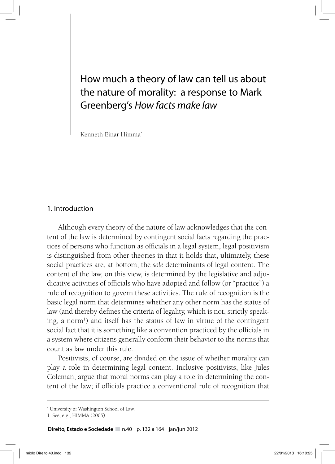# How much a theory of law can tell us about the nature of morality: a response to Mark Greenberg's *How facts make law*

Kenneth Einar Himma\*

# 1. Introduction

Although every theory of the nature of law acknowledges that the content of the law is determined by contingent social facts regarding the practices of persons who function as officials in a legal system, legal positivism is distinguished from other theories in that it holds that, ultimately, these social practices are, at bottom, the *sole* determinants of legal content. The content of the law, on this view, is determined by the legislative and adjudicative activities of officials who have adopted and follow (or "practice") a rule of recognition to govern these activities. The rule of recognition is the basic legal norm that determines whether any other norm has the status of law (and thereby defines the criteria of legality, which is not, strictly speaking, a norm<sup>1</sup>) and itself has the status of law in virtue of the contingent social fact that it is something like a convention practiced by the officials in a system where citizens generally conform their behavior to the norms that count as law under this rule.

Positivists, of course, are divided on the issue of whether morality can play a role in determining legal content. Inclusive positivists, like Jules Coleman, argue that moral norms can play a role in determining the content of the law; if officials practice a conventional rule of recognition that

**Direito, Estado e Sociedade** n.40 p. 132 a 164 jan/jun 2012

<sup>\*</sup> University of Washington School of Law.

<sup>1</sup> See, e.g., HIMMA (2005).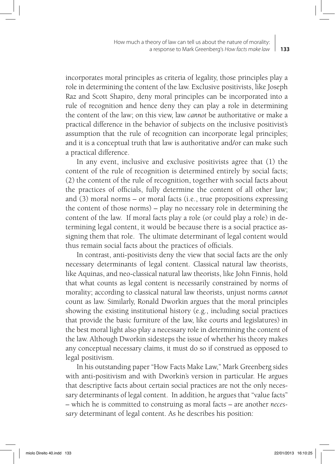incorporates moral principles as criteria of legality, those principles play a role in determining the content of the law. Exclusive positivists, like Joseph Raz and Scott Shapiro, deny moral principles can be incorporated into a rule of recognition and hence deny they can play a role in determining the content of the law; on this view, law *cannot* be authoritative or make a practical difference in the behavior of subjects on the inclusive positivist's assumption that the rule of recognition can incorporate legal principles; and it is a conceptual truth that law is authoritative and/or can make such a practical difference.

In any event, inclusive and exclusive positivists agree that (1) the content of the rule of recognition is determined entirely by social facts; (2) the content of the rule of recognition, together with social facts about the practices of officials, fully determine the content of all other law; and (3) moral norms – or moral facts (i.e., true propositions expressing the content of those norms) – play no necessary role in determining the content of the law. If moral facts play a role (or could play a role) in determining legal content, it would be because there is a social practice assigning them that role. The ultimate determinant of legal content would thus remain social facts about the practices of officials.

In contrast, anti-positivists deny the view that social facts are the only necessary determinants of legal content. Classical natural law theorists, like Aquinas, and neo-classical natural law theorists, like John Finnis, hold that what counts as legal content is necessarily constrained by norms of morality; according to classical natural law theorists, unjust norms *cannot*  count as law. Similarly, Ronald Dworkin argues that the moral principles showing the existing institutional history (e.g., including social practices that provide the basic furniture of the law, like courts and legislatures) in the best moral light also play a necessary role in determining the content of the law. Although Dworkin sidesteps the issue of whether his theory makes any conceptual necessary claims, it must do so if construed as opposed to legal positivism.

In his outstanding paper "How Facts Make Law," Mark Greenberg sides with anti-positivism and with Dworkin's version in particular. He argues that descriptive facts about certain social practices are not the only necessary determinants of legal content. In addition, he argues that "value facts" – which he is committed to construing as moral facts – are another *necessary* determinant of legal content. As he describes his position: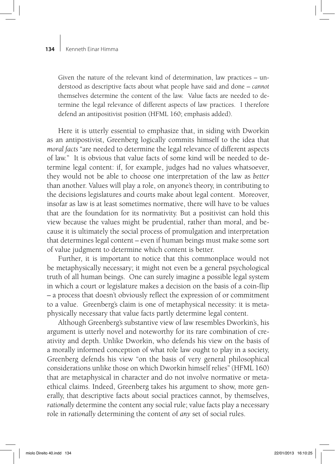Given the nature of the relevant kind of determination, law practices – understood as descriptive facts about what people have said and done – *cannot* themselves determine the content of the law. Value facts are needed to determine the legal relevance of different aspects of law practices. I therefore defend an antipositivist position (HFML 160; emphasis added).

Here it is utterly essential to emphasize that, in siding with Dworkin as an antipostivist, Greenberg logically commits himself to the idea that *moral facts* "are needed to determine the legal relevance of different aspects of law." It is obvious that value facts of some kind will be needed to determine legal content: if, for example, judges had no values whatsoever, they would not be able to choose one interpretation of the law as *better*  than another. Values will play a role, on anyone's theory, in contributing to the decisions legislatures and courts make about legal content. Moreover, insofar as law is at least sometimes normative, there will have to be values that are the foundation for its normativity. But a positivist can hold this view because the values might be prudential, rather than moral, and because it is ultimately the social process of promulgation and interpretation that determines legal content – even if human beings must make some sort of value judgment to determine which content is better.

Further, it is important to notice that this commonplace would not be metaphysically necessary; it might not even be a general psychological truth of all human beings. One can surely imagine a possible legal system in which a court or legislature makes a decision on the basis of a coin-flip – a process that doesn't obviously reflect the expression of or commitment to a value. Greenberg's claim is one of metaphysical necessity: it is metaphysically necessary that value facts partly determine legal content.

Although Greenberg's substantive view of law resembles Dworkin's, his argument is utterly novel and noteworthy for its rare combination of creativity and depth. Unlike Dworkin, who defends his view on the basis of a morally informed conception of what role law ought to play in a society, Greenberg defends his view "on the basis of very general philosophical considerations unlike those on which Dworkin himself relies" (HFML 160) that are metaphysical in character and do not involve normative or metaethical claims. Indeed, Greenberg takes his argument to show, more generally, that descriptive facts about social practices cannot, by themselves, *rationally* determine the content any social rule; value facts play a necessary role in *rationally* determining the content of *any* set of social rules.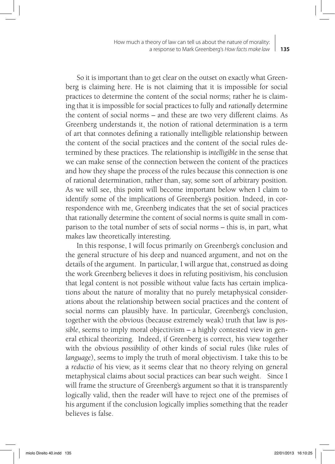So it is important than to get clear on the outset on exactly what Greenberg is claiming here. He is not claiming that it is impossible for social practices to determine the content of the social norms; rather he is claiming that it is impossible for social practices to fully and *rationally* determine the content of social norms – and these are two very different claims. As Greenberg understands it, the notion of rational determination is a term of art that connotes defining a rationally intelligible relationship between the content of the social practices and the content of the social rules determined by these practices. The relationship is *intelligible* in the sense that we can make sense of the connection between the content of the practices and how they shape the process of the rules because this connection is one of rational determination, rather than, say, some sort of arbitrary position. As we will see, this point will become important below when I claim to identify some of the implications of Greenberg's position. Indeed, in correspondence with me, Greenberg indicates that the set of social practices that rationally determine the content of social norms is quite small in comparison to the total number of sets of social norms – this is, in part, what makes law theoretically interesting.

In this response, I will focus primarily on Greenberg's conclusion and the general structure of his deep and nuanced argument, and not on the details of the argument. In particular, I will argue that, construed as doing the work Greenberg believes it does in refuting positivism, his conclusion that legal content is not possible without value facts has certain implications about the nature of morality that no purely metaphysical considerations about the relationship between social practices and the content of social norms can plausibly have. In particular, Greenberg's conclusion, together with the obvious (because extremely weak) truth that law is *possible*, seems to imply moral objectivism – a highly contested view in general ethical theorizing. Indeed, if Greenberg is correct, his view together with the obvious *possibility* of other kinds of social rules (like rules of *language*), seems to imply the truth of moral objectivism. I take this to be a *reductio* of his view, as it seems clear that no theory relying on general metaphysical claims about social practices can bear such weight. Since I will frame the structure of Greenberg's argument so that it is transparently logically valid, then the reader will have to reject one of the premises of his argument if the conclusion logically implies something that the reader believes is false.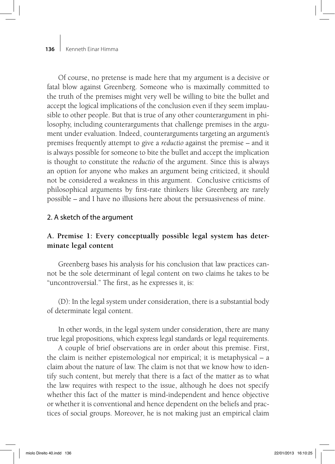Of course, no pretense is made here that my argument is a decisive or fatal blow against Greenberg. Someone who is maximally committed to the truth of the premises might very well be willing to bite the bullet and accept the logical implications of the conclusion even if they seem implausible to other people. But that is true of any other counterargument in philosophy, including counterarguments that challenge premises in the argument under evaluation. Indeed, counterarguments targeting an argument's premises frequently attempt to give a *reductio* against the premise – and it is always possible for someone to bite the bullet and accept the implication is thought to constitute the *reductio* of the argument. Since this is always an option for anyone who makes an argument being criticized, it should not be considered a weakness in this argument. Conclusive criticisms of philosophical arguments by first-rate thinkers like Greenberg are rarely possible – and I have no illusions here about the persuasiveness of mine.

# 2. A sketch of the argument

# **A. Premise 1: Every conceptually possible legal system has determinate legal content**

Greenberg bases his analysis for his conclusion that law practices cannot be the sole determinant of legal content on two claims he takes to be "uncontroversial." The first, as he expresses it, is:

(D): In the legal system under consideration, there is a substantial body of determinate legal content.

In other words, in the legal system under consideration, there are many true legal propositions, which express legal standards or legal requirements.

A couple of brief observations are in order about this premise. First, the claim is neither epistemological nor empirical; it is metaphysical – a claim about the nature of law. The claim is not that we know how to identify such content, but merely that there is a fact of the matter as to what the law requires with respect to the issue, although he does not specify whether this fact of the matter is mind-independent and hence objective or whether it is conventional and hence dependent on the beliefs and practices of social groups. Moreover, he is not making just an empirical claim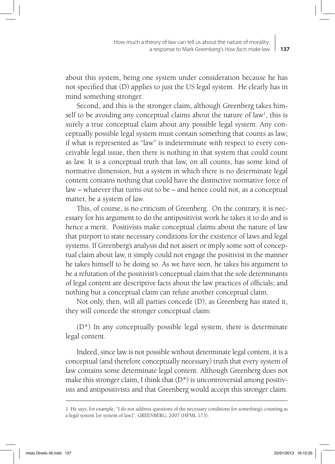about this system, being one system under consideration because he has not specified that (D) applies to just the US legal system. He clearly has in mind something stronger.

Second, and this is the stronger claim, although Greenberg takes himself to be avoiding any conceptual claims about the nature of law<sup>1</sup>, this is surely a true conceptual claim about any possible legal system. Any conceptually possible legal system must contain something that counts as law; if what is represented as "law" is indeterminate with respect to every conceivable legal issue, then there is nothing in that system that could count as law. It is a conceptual truth that law, on all counts, has some kind of normative dimension, but a system in which there is no determinate legal content contains nothing that could have the distinctive normative force of law – whatever that turns out to be – and hence could not, as a conceptual matter, be a system of *law*.

This, of course, is no criticism of Greenberg. On the contrary, it is necessary for his argument to do the antipositivist work he takes it to do and is hence a merit. Positivists make conceptual claims about the nature of law that purport to state necessary conditions for the existence of laws and legal systems. If Greenberg's analysis did not assert or imply some sort of conceptual claim about law, it simply could not engage the positivist in the manner he takes himself to be doing so. As we have seen, he takes his argument to be a refutation of the positivist's conceptual claim that the sole determinants of legal content are descriptive facts about the law practices of officials; and nothing but a conceptual claim can refute another conceptual claim.

Not only, then, will all parties concede (D), as Greenberg has stated it, they will concede the stronger conceptual claim:

(D\*) In any conceptually possible legal system, there is determinate legal content.

Indeed, since law is not possible without determinate legal content, it is a conceptual (and therefore conceptually necessary) truth that every system of law contains some determinate legal content. Although Greenberg does not make this stronger claim, I think that  $(D^*)$  is uncontroversial among positivists and antipositivists and that Greenberg would accept this stronger claim.

<sup>1</sup> He says, for example, "I do not address questions of the necessary conditions for something's counting as a legal system [or system of law]". GREENBERG, 2007 (HFML 173).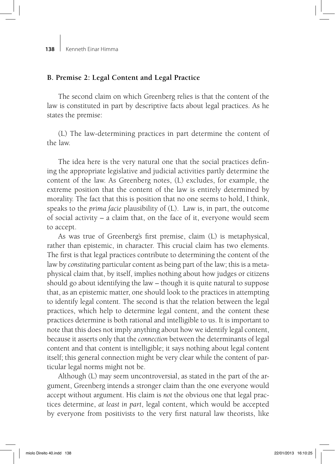## **B. Premise 2: Legal Content and Legal Practice**

The second claim on which Greenberg relies is that the content of the law is constituted in part by descriptive facts about legal practices. As he states the premise:

(L) The law-determining practices in part determine the content of the law.

The idea here is the very natural one that the social practices defining the appropriate legislative and judicial activities partly determine the content of the law. As Greenberg notes, (L) excludes, for example, the extreme position that the content of the law is entirely determined by morality. The fact that this is position that no one seems to hold, I think, speaks to the *prima facie* plausibility of (L). Law is, in part, the outcome of social activity – a claim that, on the face of it, everyone would seem to accept.

As was true of Greenberg's first premise, claim (L) is metaphysical, rather than epistemic, in character. This crucial claim has two elements. The first is that legal practices contribute to determining the content of the law by *constituting* particular content as being part of the law; this is a metaphysical claim that, by itself, implies nothing about how judges or citizens should go about identifying the law – though it is quite natural to suppose that, as an epistemic matter, one should look to the practices in attempting to identify legal content. The second is that the relation between the legal practices, which help to determine legal content, and the content these practices determine is both rational and intelligible to us. It is important to note that this does not imply anything about how we identify legal content, because it asserts only that the *connection* between the determinants of legal content and that content is intelligible; it says nothing about legal content itself; this general connection might be very clear while the content of particular legal norms might not be.

Although (L) may seem uncontroversial, as stated in the part of the argument, Greenberg intends a stronger claim than the one everyone would accept without argument. His claim is *not* the obvious one that legal practices determine, *at least in part*, legal content, which would be accepted by everyone from positivists to the very first natural law theorists, like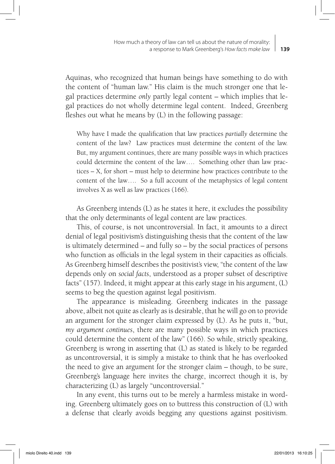Aquinas, who recognized that human beings have something to do with the content of "human law." His claim is the much stronger one that legal practices determine *only* partly legal content – which implies that legal practices do not wholly determine legal content. Indeed, Greenberg fleshes out what he means by (L) in the following passage:

Why have I made the qualification that law practices *partially* determine the content of the law? Law practices must determine the content of the law. But, my argument continues, there are many possible ways in which practices could determine the content of the law…. Something other than law practices – X, for short – must help to determine how practices contribute to the content of the law…. So a full account of the metaphysics of legal content involves X as well as law practices (166).

As Greenberg intends (L) as he states it here, it excludes the possibility that the only determinants of legal content are law practices.

This, of course, is not uncontroversial. In fact, it amounts to a direct denial of legal positivism's distinguishing thesis that the content of the law is ultimately determined – and fully so – by the social practices of persons who function as officials in the legal system in their capacities as officials. As Greenberg himself describes the positivist's view, "the content of the law depends only on *social facts*, understood as a proper subset of descriptive facts" (157). Indeed, it might appear at this early stage in his argument, (L) seems to beg the question against legal positivism.

The appearance is misleading. Greenberg indicates in the passage above, albeit not quite as clearly as is desirable, that he will go on to provide an argument for the stronger claim expressed by (L). As he puts it, "but, *my argument continues*, there are many possible ways in which practices could determine the content of the law" (166). So while, strictly speaking, Greenberg is wrong in asserting that (L) as stated is likely to be regarded as uncontroversial, it is simply a mistake to think that he has overlooked the need to give an argument for the stronger claim – though, to be sure, Greenberg's language here invites the charge, incorrect though it is, by characterizing (L) as largely "uncontroversial."

In any event, this turns out to be merely a harmless mistake in wording. Greenberg ultimately goes on to buttress this construction of (L) with a defense that clearly avoids begging any questions against positivism.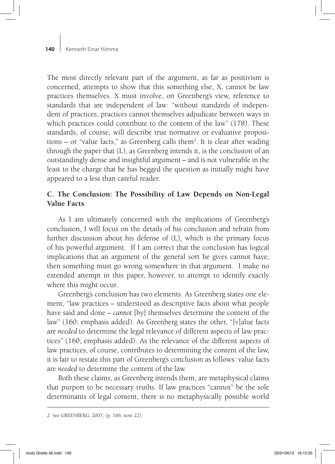The most directly relevant part of the argument, as far as positivism is concerned, attempts to show that this something else, X, cannot be law practices themselves. X must involve, on Greenberg's view, reference to standards that are independent of law: "without standards of independent of practices, practices cannot themselves adjudicate between ways in which practices could contribute to the content of the law" (178). These standards, of course, will describe true normative or evaluative propositions – or "value facts," as Greenberg calls them2 . It is clear after wading through the paper that (L), as Greenberg intends it, is the conclusion of an outstandingly dense and insightful argument – and is not vulnerable in the least to the charge that he has begged the question as initially might have appeared to a less than careful reader.

# **C. The Conclusion: The Possibility of Law Depends on Non-Legal Value Facts**

As I am ultimately concerned with the implications of Greenberg's conclusion, I will focus on the details of his conclusion and refrain from further discussion about his defense of (L), which is the primary focus of his powerful argument. If I am correct that the conclusion has logical implications that an argument of the general sort he gives cannot have, then something must go wrong somewhere in that argument. I make no extended attempt in this paper, however, to attempt to identify exactly where this might occur.

Greenberg's conclusion has two elements. As Greenberg states one element, "law practices – understood as descriptive facts about what people have said and done – *cannot* [by] themselves determine the content of the law" (160; emphasis added). As Greenberg states the other, "[v]alue facts are *needed* to determine the legal relevance of different aspects of law practices" (160; emphasis added). As the relevance of the different aspects of law practices, of course, contributes to determining the content of the law, it is fair to restate this part of Greenberg's conclusion as follows: value facts are *needed* to determine the content of the law.

Both these claims, as Greenberg intends them, are metaphysical claims that purport to be necessary truths. If law practices "cannot" be the sole determinants of legal content, there is no metaphysically possible world

<sup>2</sup> See GREENBERG, 2007, (p. 166, note 22).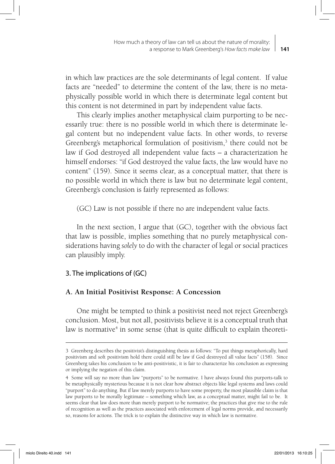in which law practices are the sole determinants of legal content. If value facts are "needed" to determine the content of the law, there is no metaphysically possible world in which there is determinate legal content but this content is not determined in part by independent value facts.

This clearly implies another metaphysical claim purporting to be necessarily true: there is no possible world in which there is determinate legal content but no independent value facts. In other words, to reverse Greenberg's metaphorical formulation of positivism,<sup>3</sup> there could not be law if God destroyed all independent value facts – a characterization he himself endorses: "if God destroyed the value facts, the law would have no content" (159). Since it seems clear, as a conceptual matter, that there is no possible world in which there is law but no determinate legal content, Greenberg's conclusion is fairly represented as follows:

(GC) Law is not possible if there no are independent value facts.

In the next section, I argue that (GC), together with the obvious fact that law is possible, implies something that no purely metaphysical considerations having *solely* to do with the character of legal or social practices can plausibly imply.

# 3. The implications of (GC)

# **A. An Initial Positivist Response: A Concession**

One might be tempted to think a positivist need not reject Greenberg's conclusion. Most, but not all, positivists believe it is a conceptual truth that law is normative<sup>4</sup> in some sense (that is quite difficult to explain theoreti-

<sup>3</sup> Greenberg describes the positivist's distinguishing thesis as follows: "To put things metaphorically, hard positivism and soft positivism hold there could still be law if God destroyed all value facts" (158). Since Greenberg takes his conclusion to be anti-positivistic, it is fair to characterize his conclusion as expressing or implying the negation of this claim.

<sup>4</sup> Some will say no more than law "purports" to be normative. I have always found this purports-talk to be metaphysically mysterious because it is not clear how abstract objects like legal systems and laws could "purport" to do anything. But if law merely purports to have some property, the most plausible claim is that law purports to be morally legitimate – something which law, as a conceptual matter, might fail to be. It seems clear that law does more than merely purport to be normative; the practices that give rise to the rule of recognition as well as the practices associated with enforcement of legal norms provide, and necessarily so, reasons for actions. The trick is to explain the distinctive way in which law is normative.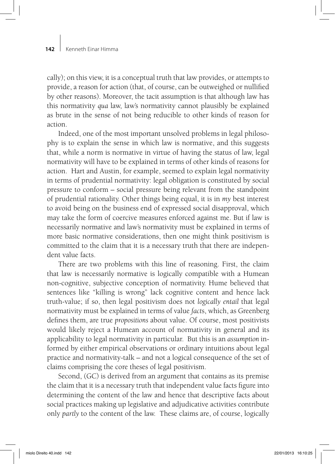cally); on this view, it is a conceptual truth that law provides, or attempts to provide, a reason for action (that, of course, can be outweighed or nullified by other reasons). Moreover, the tacit assumption is that although law has this normativity *qua* law, law's normativity cannot plausibly be explained as brute in the sense of not being reducible to other kinds of reason for action.

Indeed, one of the most important unsolved problems in legal philosophy is to explain the sense in which law is normative, and this suggests that, while a norm is normative in virtue of having the status of law, legal normativity will have to be explained in terms of other kinds of reasons for action. Hart and Austin, for example, seemed to explain legal normativity in terms of prudential normativity: legal obligation is constituted by social pressure to conform – social pressure being relevant from the standpoint of prudential rationality. Other things being equal, it is in *my* best interest to avoid being on the business end of expressed social disapproval, which may take the form of coercive measures enforced against me. But if law is necessarily normative and law's normativity must be explained in terms of more basic normative considerations, then one might think positivism is committed to the claim that it is a necessary truth that there are independent value facts.

There are two problems with this line of reasoning. First, the claim that law is necessarily normative is logically compatible with a Humean non-cognitive, subjective conception of normativity. Hume believed that sentences like "killing is wrong" lack cognitive content and hence lack truth-value; if so, then legal positivism does not *logically entail* that legal normativity must be explained in terms of value *fact*s, which, as Greenberg defines them, are true *propositions* about value. Of course, most positivists would likely reject a Humean account of normativity in general and its applicability to legal normativity in particular. But this is an *assumption* informed by either empirical observations or ordinary intuitions about legal practice and normativity-talk – and not a logical consequence of the set of claims comprising the core theses of legal positivism.

Second, (GC) is derived from an argument that contains as its premise the claim that it is a necessary truth that independent value facts figure into determining the content of the law and hence that descriptive facts about social practices making up legislative and adjudicative activities contribute only *partly* to the content of the law. These claims are, of course, logically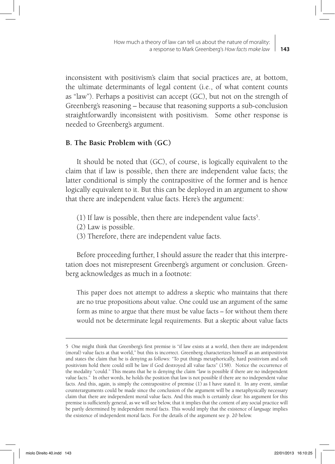inconsistent with positivism's claim that social practices are, at bottom, the ultimate determinants of legal content (i.e., of what content counts as "law"). Perhaps a positivist can accept (GC), but not on the strength of Greenberg's reasoning – because that reasoning supports a sub-conclusion straightforwardly inconsistent with positivism. Some other response is needed to Greenberg's argument.

# **B. The Basic Problem with (GC)**

It should be noted that (GC), of course, is logically equivalent to the claim that if law is possible, then there are independent value facts; the latter conditional is simply the contrapositive of the former and is hence logically equivalent to it. But this can be deployed in an argument to show that there are independent value facts. Here's the argument:

- (1) If law is possible, then there are independent value facts<sup>5</sup>.
- (2) Law is possible.
- (3) Therefore, there are independent value facts.

Before proceeding further, I should assure the reader that this interpretation does not misrepresent Greenberg's argument or conclusion. Greenberg acknowledges as much in a footnote:

This paper does not attempt to address a skeptic who maintains that there are no true propositions about value. One could use an argument of the same form as mine to argue that there must be value facts – for without them there would not be determinate legal requirements. But a skeptic about value facts

<sup>5</sup> One might think that Greenberg's first premise is "if law exists at a world, then there are independent (moral) value facts at that world," but this is incorrect. Greenberg characterizes himself as an antipositivist and states the claim that he is denying as follows: "To put things metaphorically, hard positivism and soft positivism hold there could still be law if God destroyed all value facts" (158). Notice the occurrence of the modality "could." This means that he is denying the claim "law is possible if there are no independent value facts." In other words, he holds the position that law is not possible if there are no independent value facts. And this, again, is simply the contrapositive of premise (1) as I have stated it. In any event, similar counterarguments could be made since the conclusion of the argument will be a metaphysically necessary claim that there are independent moral value facts. And this much is certainly clear: his argument for this premise is sufficiently general, as we will see below, that it implies that the content of any social practice will be partly determined by independent moral facts. This would imply that the existence of *language* implies the existence of independent moral facts. For the details of the argument see p. 20 below.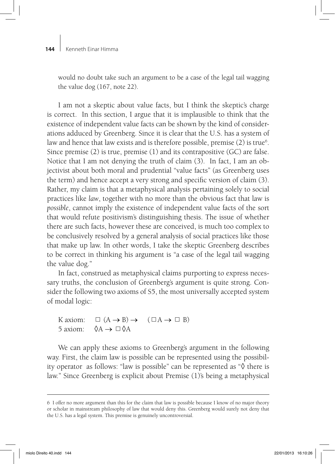would no doubt take such an argument to be a case of the legal tail wagging the value dog (167, note 22).

I am not a skeptic about value facts, but I think the skeptic's charge is correct. In this section, I argue that it is implausible to think that the existence of independent value facts can be shown by the kind of considerations adduced by Greenberg. Since it is clear that the U.S. has a system of law and hence that law exists and is therefore possible, premise (2) is true<sup>6</sup>. Since premise (2) is true, premise (1) and its contrapositive (GC) are false. Notice that I am not denying the truth of claim (3). In fact, I am an objectivist about both moral and prudential "value facts" (as Greenberg uses the term) and hence accept a very strong and specific version of claim (3). Rather, my claim is that a metaphysical analysis pertaining solely to social practices like *law*, together with no more than the obvious fact that law is *possible*, cannot imply the existence of independent value facts of the sort that would refute positivism's distinguishing thesis. The issue of whether there are such facts, however these are conceived, is much too complex to be conclusively resolved by a general analysis of social practices like those that make up law. In other words, I take the skeptic Greenberg describes to be correct in thinking his argument is "a case of the legal tail wagging the value dog."

In fact, construed as metaphysical claims purporting to express necessary truths, the conclusion of Greenberg's argument is quite strong. Consider the following two axioms of S5, the most universally accepted system of modal logic:

K axiom:  $\Box$   $(A \rightarrow B) \rightarrow (\Box A \rightarrow \Box B)$ 5 axiom:  $\Diamond A \rightarrow \Box \Diamond A$ 

We can apply these axioms to Greenberg's argument in the following way. First, the claim law is possible can be represented using the possibility operator as follows: "law is possible" can be represented as "◊ there is law." Since Greenberg is explicit about Premise (1)'s being a metaphysical

<sup>6</sup> I offer no more argument than this for the claim that law is possible because I know of no major theory or scholar in mainstream philosophy of law that would deny this. Greenberg would surely not deny that the U.S. has a legal system. This premise is genuinely uncontroversial.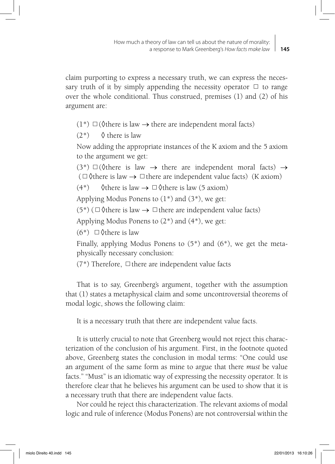claim purporting to express a necessary truth, we can express the necessary truth of it by simply appending the necessity operator  $\Box$  to range over the whole conditional. Thus construed, premises (1) and (2) of his argument are:

 $(1^*)$   $\Box$  ( $\Diamond$ there is law  $\rightarrow$  there are independent moral facts)

 $(2^*)\quad \lozenge$  there is law

Now adding the appropriate instances of the K axiom and the 5 axiom to the argument we get:

 $(3^*)$   $\Box$  ( $\Diamond$ there is law  $\rightarrow$  there are independent moral facts)  $\rightarrow$ ( $\Box$ ) (there is law  $\rightarrow$   $\Box$ ) there are independent value facts) (K axiom)

 $(4^*)$   $\Diamond$  there is law  $\rightarrow \Box \Diamond$  there is law (5 axiom)

Applying Modus Ponens to  $(1^*)$  and  $(3^*)$ , we get:

 $(5^*)$  ( $\Box$ ) (there is law  $\rightarrow \Box$  there are independent value facts)

Applying Modus Ponens to (2\*) and (4\*), we get:

 $(6^*)$   $\Box$   $\Diamond$  there is law

Finally, applying Modus Ponens to (5\*) and (6\*), we get the metaphysically necessary conclusion:

 $(7^*)$  Therefore,  $\Box$  there are independent value facts

That is to say, Greenberg's argument, together with the assumption that (1) states a metaphysical claim and some uncontroversial theorems of modal logic, shows the following claim:

It is a necessary truth that there are independent value facts.

It is utterly crucial to note that Greenberg would not reject this characterization of the conclusion of his argument. First, in the footnote quoted above, Greenberg states the conclusion in modal terms: "One could use an argument of the same form as mine to argue that there *must* be value facts." "Must" is an idiomatic way of expressing the necessity operator. It is therefore clear that he believes his argument can be used to show that it is a necessary truth that there are independent value facts.

Nor could he reject this characterization. The relevant axioms of modal logic and rule of inference (Modus Ponens) are not controversial within the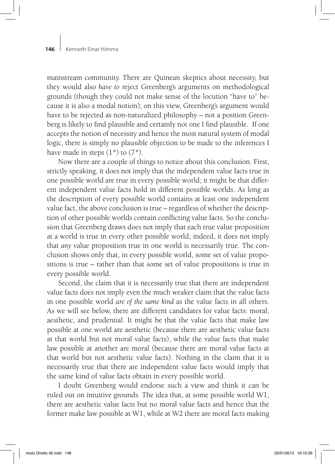mainstream community. There are Quinean skeptics about necessity, but they would also *have to* reject Greenberg's arguments on methodological grounds (though they could not make sense of the locution "have to" because it is also a modal notion); on this view, Greenberg's argument would have to be rejected as non-naturalized philosophy – not a position Greenberg is likely to find plausible and certainly not one I find plausible. If one accepts the notion of necessity and hence the most natural system of modal logic, there is simply no plausible objection to be made to the inferences I have made in steps  $(1^*)$  to  $(7^*)$ .

Now there are a couple of things to notice about this conclusion. First, strictly speaking, it does not imply that the independent value facts true in one possible world are true in every possible world; it might be that different independent value facts hold in different possible worlds. As long as the description of every possible world contains at least one independent value fact, the above conclusion is true – regardless of whether the description of other possible worlds contain conflicting value facts. So the conclusion that Greenberg draws does not imply that each true value proposition at a world is true in every other possible world; indeed, it does not imply that *any* value proposition true in one world is necessarily true. The conclusion shows only that, in every possible world, some set of value propositions is true – rather than that some set of value propositions is true in every possible world.

Second, the claim that it is necessarily true that there are independent value facts does not imply even the much weaker claim that the value facts in one possible world *are of the same kind* as the value facts in all others. As we will see below, there are different candidates for value facts: moral, aesthetic, and prudential. It might be that the value facts that make law possible at one world are aesthetic (because there are aesthetic value facts at that world but not moral value facts), while the value facts that make law possible at another are moral (because there are moral value facts at that world but not aesthetic value facts). Nothing in the claim that it is necessarily true that there are independent value facts would imply that the same kind of value facts obtain in every possible world.

I doubt Greenberg would endorse such a view and think it can be ruled out on intuitive grounds. The idea that, at some possible world W1, there are aesthetic value facts but no moral value facts and hence that the former make law possible at W1, while at W2 there are moral facts making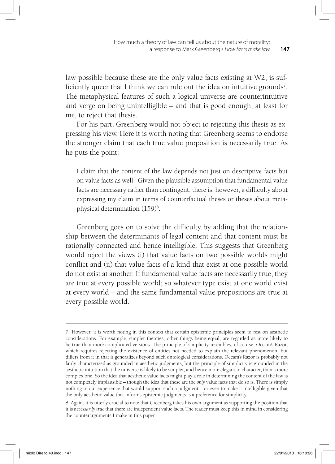law possible because these are the only value facts existing at W2, is sufficiently queer that I think we can rule out the idea on intuitive grounds<sup>7</sup>. The metaphysical features of such a logical universe are counterintuitive and verge on being unintelligible – and that is good enough, at least for me, to reject that thesis.

For his part, Greenberg would not object to rejecting this thesis as expressing his view. Here it is worth noting that Greenberg seems to endorse the stronger claim that each true value proposition is necessarily true. As he puts the point:

I claim that the content of the law depends not just on descriptive facts but on value facts as well. Given the plausible assumption that fundamental value facts are necessary rather than contingent, there is, however, a difficulty about expressing my claim in terms of counterfactual theses or theses about metaphysical determination (159)<sup>8</sup>.

Greenberg goes on to solve the difficulty by adding that the relationship between the determinants of legal content and that content must be rationally connected and hence intelligible. This suggests that Greenberg would reject the views (i) that value facts on two possible worlds might conflict and (ii) that value facts of a kind that exist at one possible world do not exist at another. If fundamental value facts are necessarily true, they are true at every possible world; so whatever type exist at one world exist at every world – and the same fundamental value propositions are true at every possible world.

<sup>7</sup> However, it is worth noting in this context that certain epistemic principles seem to rest on aesthetic considerations. For example, simpler theories, other things being equal, are regarded as more likely to be true than more complicated versions. The principle of simplicity resembles, of course, Occam's Razor, which requires rejecting the existence of entities not needed to explain the relevant phenomenon, but differs from it in that it generalizes beyond such ontological considerations. Occam's Razor is probably not fairly characterized as grounded in aesthetic judgments, but the principle of simplicity is grounded in the aesthetic intuition that the universe is likely to be simpler, and hence more elegant in character, than a more complex one. So the idea that aesthetic value facts might play a role in determining the content of the law is not completely implausible – though the idea that these are the *only* value facts that do so is. There is simply nothing in our experience that would support such a judgment – or even to make it intelligible given that the only aesthetic value that informs epistemic judgments is a preference for simplicity.

<sup>8</sup> Again, it is utterly crucial to note that Greenberg takes his own argument as supporting the position that it is *necessarily true* that there are independent value facts. The reader must keep this in mind in considering the counterarguments I make in this paper.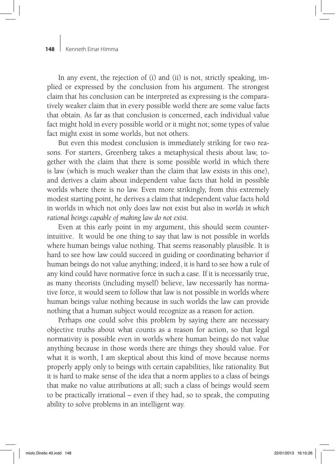In any event, the rejection of (i) and (ii) is not, strictly speaking, implied or expressed by the conclusion from his argument. The strongest claim that his conclusion can be interpreted as expressing is the comparatively weaker claim that in every possible world there are some value facts that obtain. As far as that conclusion is concerned, each individual value fact might hold in every possible world or it might not; some types of value fact might exist in some worlds, but not others.

But even this modest conclusion is immediately striking for two reasons. For starters, Greenberg takes a metaphysical thesis about law, together with the claim that there is some possible world in which there is law (which is much weaker than the claim that law exists in this one), and derives a claim about independent value facts that hold in possible worlds where there is no law. Even more strikingly, from this extremely modest starting point, he derives a claim that independent value facts hold in worlds in which not only does law not exist but also in *worlds in which rational beings capable of making law do not exist.* 

Even at this early point in my argument, this should seem counterintuitive. It would be one thing to say that law is not possible in worlds where human beings value nothing. That seems reasonably plausible. It is hard to see how law could succeed in guiding or coordinating behavior if human beings do not value anything; indeed, it is hard to see how a rule of any kind could have normative force in such a case. If it is necessarily true, as many theorists (including myself) believe, law necessarily has normative force, it would seem to follow that law is not possible in worlds where human beings value nothing because in such worlds the law can provide nothing that a human subject would recognize as a reason for action.

Perhaps one could solve this problem by saying there are necessary objective truths about what counts as a reason for action, so that legal normativity is possible even in worlds where human beings do not value anything because in those words there are things they should value. For what it is worth, I am skeptical about this kind of move because norms properly apply only to beings with certain capabilities, like rationality. But it is hard to make sense of the idea that a norm applies to a class of beings that make no value attributions at all; such a class of beings would seem to be practically irrational – even if they had, so to speak, the computing ability to solve problems in an intelligent way.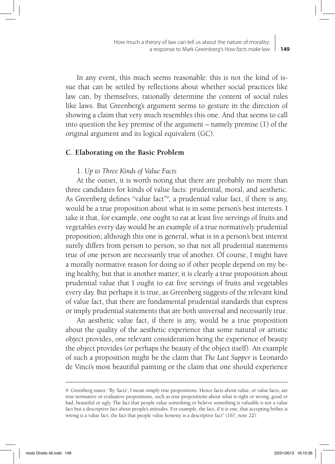**149** How much a theory of law can tell us about the nature of morality: a response to Mark Greenberg's *How facts make law*

In any event, this much seems reasonable: this is not the kind of issue that can be settled by reflections about whether social practices like law can, by themselves, rationally determine the content of social rules like laws. But Greenberg's argument seems to gesture in the direction of showing a claim that very much resembles this one. And that seems to call into question the key premise of the argument – namely premise (1) of the original argument and its logical equivalent (GC).

## **C. Elaborating on the Basic Problem**

# 1. *Up to Three Kinds of Value Facts*

At the outset, it is worth noting that there are probably no more than three candidates for kinds of value facts: prudential, moral, and aesthetic. As Greenberg defines "value fact"<sup>9</sup>, a prudential value fact, if there is any, would be a true proposition about what is in some person's best interests. I take it that, for example, one ought to eat at least five servings of fruits and vegetables every day would be an example of a true normatively prudential proposition; although this one is general, what is in a person's best interest surely differs from person to person, so that not all prudential statements true of one person are necessarily true of another. Of course, I might have a morally normative reason for doing so if other people depend on my being healthy, but that is another matter; it is clearly a true proposition about prudential value that I ought to eat five servings of fruits and vegetables every day. But perhaps it is true, as Greenberg suggests of the relevant kind of value fact, that there are fundamental prudential standards that express or imply prudential statements that are both universal and necessarily true.

An aesthetic value fact, if there is any, would be a true proposition about the quality of the aesthetic experience that some natural or artistic object provides, one relevant consideration being the experience of beauty the object provides (or perhaps the beauty of the object itself). An example of such a proposition might be the claim that *The Last Supper* is Leonardo de Vinci's most beautiful painting or the claim that one should experience

<sup>9</sup> Greenberg states: "By 'facts', I mean simply true propositions. Hence facts about value, or value facts, are true normative or evaluative propositions, such as true propositions about what is right or wrong, good or bad, beautiful or ugly. The fact that people value something or believe something is valuable *is* not a value fact but a descriptive fact about people's attitudes. For example, the fact, if it is one, that accepting bribes is wrong is a value fact; the fact that people value honesty is a descriptive fact" (167, note 22).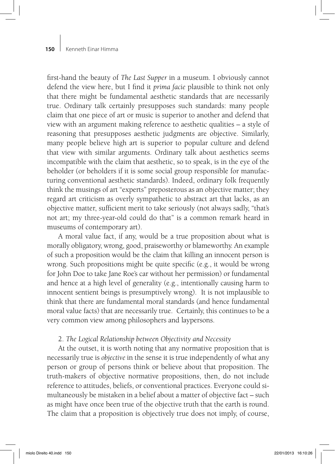first-hand the beauty of *The Last Supper* in a museum. I obviously cannot defend the view here, but I find it *prima facie* plausible to think not only that there might be fundamental aesthetic standards that are necessarily true. Ordinary talk certainly presupposes such standards: many people claim that one piece of art or music is superior to another and defend that view with an argument making reference to aesthetic qualities – a style of reasoning that presupposes aesthetic judgments are objective. Similarly, many people believe high art is superior to popular culture and defend that view with similar arguments. Ordinary talk about aesthetics seems incompatible with the claim that aesthetic, so to speak, is in the eye of the beholder (or beholders if it is some social group responsible for manufacturing conventional aesthetic standards). Indeed, ordinary folk frequently think the musings of art "experts" preposterous as an objective matter; they regard art criticism as overly sympathetic to abstract art that lacks, as an objective matter, sufficient merit to take seriously (not always sadly, "that's not art; my three-year-old could do that" is a common remark heard in museums of contemporary art).

A moral value fact, if any, would be a true proposition about what is morally obligatory, wrong, good, praiseworthy or blameworthy. An example of such a proposition would be the claim that killing an innocent person is wrong. Such propositions might be quite specific (e.g., it would be wrong for John Doe to take Jane Roe's car without her permission) or fundamental and hence at a high level of generality (e.g., intentionally causing harm to innocent sentient beings is presumptively wrong). It is not implausible to think that there are fundamental moral standards (and hence fundamental moral value facts) that are necessarily true. Certainly, this continues to be a very common view among philosophers and laypersons.

## 2. *The Logical Relationship between Objectivity and Necessity*

At the outset, it is worth noting that any normative proposition that is necessarily true is *objective* in the sense it is true independently of what any person or group of persons think or believe about that proposition. The truth-makers of objective normative propositions, then, do not include reference to attitudes, beliefs, or conventional practices. Everyone could simultaneously be mistaken in a belief about a matter of objective fact – such as might have once been true of the objective truth that the earth is round. The claim that a proposition is objectively true does not imply, of course,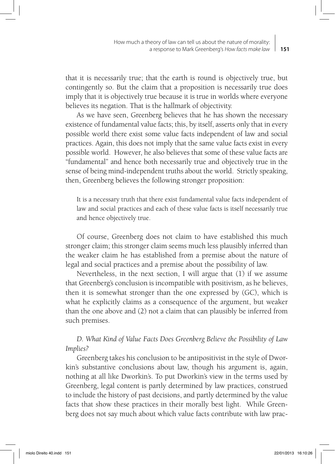that it is necessarily true; that the earth is round is objectively true, but contingently so. But the claim that a proposition is necessarily true does imply that it is objectively true because it is true in worlds where everyone believes its negation. That is the hallmark of objectivity.

As we have seen, Greenberg believes that he has shown the necessary existence of fundamental value facts; this, by itself, asserts only that in every possible world there exist some value facts independent of law and social practices. Again, this does not imply that the same value facts exist in every possible world. However, he also believes that some of these value facts are "fundamental" and hence both necessarily true and objectively true in the sense of being mind-independent truths about the world. Strictly speaking, then, Greenberg believes the following stronger proposition:

It is a necessary truth that there exist fundamental value facts independent of law and social practices and each of these value facts is itself necessarily true and hence objectively true.

Of course, Greenberg does not claim to have established this much stronger claim; this stronger claim seems much less plausibly inferred than the weaker claim he has established from a premise about the nature of legal and social practices and a premise about the possibility of law.

Nevertheless, in the next section, I will argue that (1) if we assume that Greenberg's conclusion is incompatible with positivism, as he believes, then it is somewhat stronger than the one expressed by (GC), which is what he explicitly claims as a consequence of the argument, but weaker than the one above and (2) not a claim that can plausibly be inferred from such premises.

# *D. What Kind of Value Facts Does Greenberg Believe the Possibility of Law Implies?*

Greenberg takes his conclusion to be antipositivist in the style of Dworkin's substantive conclusions about law, though his argument is, again, nothing at all like Dworkin's. To put Dworkin's view in the terms used by Greenberg, legal content is partly determined by law practices, construed to include the history of past decisions, and partly determined by the value facts that show these practices in their morally best light. While Greenberg does not say much about which value facts contribute with law prac-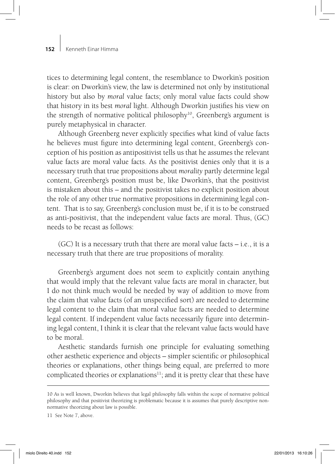tices to determining legal content, the resemblance to Dworkin's position is clear: on Dworkin's view, the law is determined not only by institutional history but also by *moral* value facts; only moral value facts could show that history in its best *moral* light. Although Dworkin justifies his view on the strength of normative political philosophy<sup>10</sup>, Greenberg's argument is purely metaphysical in character.

Although Greenberg never explicitly specifies what kind of value facts he believes must figure into determining legal content, Greenberg's conception of his position as antipositivist tells us that he assumes the relevant value facts are moral value facts. As the positivist denies only that it is a necessary truth that true propositions about *morality* partly determine legal content, Greenberg's position must be, like Dworkin's, that the positivist is mistaken about this – and the positivist takes no explicit position about the role of any other true normative propositions in determining legal content. That is to say, Greenberg's conclusion must be, if it is to be construed as anti-positivist, that the independent value facts are moral. Thus, (GC) needs to be recast as follows:

(GC) It is a necessary truth that there are moral value facts – i.e., it is a necessary truth that there are true propositions of morality.

Greenberg's argument does not seem to explicitly contain anything that would imply that the relevant value facts are moral in character, but I do not think much would be needed by way of addition to move from the claim that value facts (of an unspecified sort) are needed to determine legal content to the claim that moral value facts are needed to determine legal content. If independent value facts necessarily figure into determining legal content, I think it is clear that the relevant value facts would have to be moral.

Aesthetic standards furnish one principle for evaluating something other aesthetic experience and objects – simpler scientific or philosophical theories or explanations, other things being equal, are preferred to more complicated theories or explanations<sup>11</sup>; and it is pretty clear that these have

<sup>10</sup> As is well known, Dworkin believes that legal philosophy falls within the scope of normative political philosophy and that positivist theorizing is problematic because it is assumes that purely descriptive nonnormative theorizing about law is possible.

<sup>11</sup> See Note 7, above.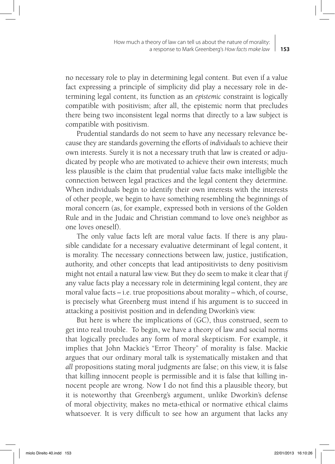no necessary role to play in determining legal content. But even if a value fact expressing a principle of simplicity did play a necessary role in determining legal content, its function as an *epistemic* constraint is logically compatible with positivism; after all, the epistemic norm that precludes there being two inconsistent legal norms that directly to a law subject is compatible with positivism.

Prudential standards do not seem to have any necessary relevance because they are standards governing the efforts of *individuals* to achieve their own interests. Surely it is not a necessary truth that law is created or adjudicated by people who are motivated to achieve their own interests; much less plausible is the claim that prudential value facts make intelligible the connection between legal practices and the legal content they determine. When individuals begin to identify their own interests with the interests of other people, we begin to have something resembling the beginnings of moral concern (as, for example, expressed both in versions of the Golden Rule and in the Judaic and Christian command to love one's neighbor as one loves oneself).

The only value facts left are moral value facts. If there is any plausible candidate for a necessary evaluative determinant of legal content, it is morality. The necessary connections between law, justice, justification, authority, and other concepts that lead antipositivists to deny positivism might not entail a natural law view. But they do seem to make it clear that *if* any value facts play a necessary role in determining legal content, they are moral value facts – i.e. true propositions about morality – which, of course, is precisely what Greenberg must intend if his argument is to succeed in attacking a positivist position and in defending Dworkin's view.

But here is where the implications of (GC), thus construed, seem to get into real trouble. To begin, we have a theory of law and social norms that logically precludes any form of moral skepticism. For example, it implies that John Mackie's "Error Theory" of morality is false. Mackie argues that our ordinary moral talk is systematically mistaken and that *all* propositions stating moral judgments are false; on this view, it is false that killing innocent people is permissible and it is false that killing innocent people are wrong. Now I do not find this a plausible theory, but it is noteworthy that Greenberg's argument, unlike Dworkin's defense of moral objectivity, makes no meta-ethical or normative ethical claims whatsoever. It is very difficult to see how an argument that lacks any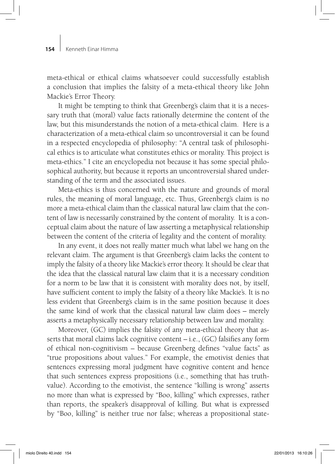meta-ethical or ethical claims whatsoever could successfully establish a conclusion that implies the falsity of a meta-ethical theory like John Mackie's Error Theory.

It might be tempting to think that Greenberg's claim that it is a necessary truth that (moral) value facts rationally determine the content of the law, but this misunderstands the notion of a meta-ethical claim. Here is a characterization of a meta-ethical claim so uncontroversial it can be found in a respected encyclopedia of philosophy: "A central task of philosophical ethics is to articulate what constitutes ethics or morality. This project is meta-ethics." I cite an encyclopedia not because it has some special philosophical authority, but because it reports an uncontroversial shared understanding of the term and the associated issues.

Meta-ethics is thus concerned with the nature and grounds of moral rules, the meaning of moral language, etc. Thus, Greenberg's claim is no more a meta-ethical claim than the classical natural law claim that the content of law is necessarily constrained by the content of morality. It is a conceptual claim about the nature of law asserting a metaphysical relationship between the content of the criteria of legality and the content of morality.

In any event, it does not really matter much what label we hang on the relevant claim. The argument is that Greenberg's claim lacks the content to imply the falsity of a theory like Mackie's error theory. It should be clear that the idea that the classical natural law claim that it is a necessary condition for a norm to be law that it is consistent with morality does not, by itself, have sufficient content to imply the falsity of a theory like Mackie's. It is no less evident that Greenberg's claim is in the same position because it does the same kind of work that the classical natural law claim does – merely asserts a metaphysically necessary relationship between law and morality.

Moreover, (GC) implies the falsity of any meta-ethical theory that asserts that moral claims lack cognitive content – i.e., (GC) falsifies any form of ethical non-cognitivism – because Greenberg defines "value facts" as "true propositions about values." For example, the emotivist denies that sentences expressing moral judgment have cognitive content and hence that such sentences express propositions (i.e., something that has truthvalue). According to the emotivist, the sentence "killing is wrong" asserts no more than what is expressed by "Boo, killing" which expresses, rather than reports, the speaker's disapproval of killing. But what is expressed by "Boo, killing" is neither true nor false; whereas a propositional state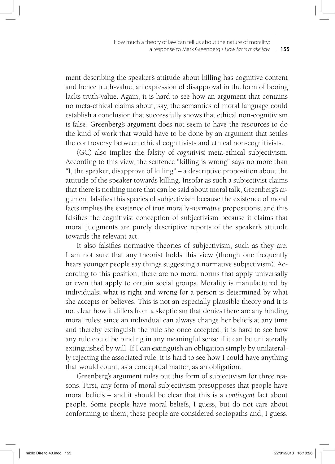ment describing the speaker's attitude about killing has cognitive content and hence truth-value, an expression of disapproval in the form of booing lacks truth-value. Again, it is hard to see how an argument that contains no meta-ethical claims about, say, the semantics of moral language could establish a conclusion that successfully shows that ethical non-cognitivism is false. Greenberg's argument does not seem to have the resources to do the kind of work that would have to be done by an argument that settles the controversy between ethical cognitivists and ethical non-cognitivists.

(GC) also implies the falsity of *cognitivist* meta-ethical subjectivism. According to this view, the sentence "killing is wrong" says no more than "I, the speaker, disapprove of killing" – a descriptive proposition about the attitude of the speaker towards killing. Insofar as such a subjectivist claims that there is nothing more that can be said about moral talk, Greenberg's argument falsifies this species of subjectivism because the existence of moral facts implies the existence of true morally-*normative* propositions; and this falsifies the cognitivist conception of subjectivism because it claims that moral judgments are purely descriptive reports of the speaker's attitude towards the relevant act.

It also falsifies normative theories of subjectivism, such as they are. I am not sure that any theorist holds this view (though one frequently hears younger people say things suggesting a normative subjectivism). According to this position, there are no moral norms that apply universally or even that apply to certain social groups. Morality is manufactured by individuals; what is right and wrong for a person is determined by what she accepts or believes. This is not an especially plausible theory and it is not clear how it differs from a skepticism that denies there are any binding moral rules; since an individual can always change her beliefs at any time and thereby extinguish the rule she once accepted, it is hard to see how any rule could be binding in any meaningful sense if it can be unilaterally extinguished by will. If I can extinguish an obligation simply by unilaterally rejecting the associated rule, it is hard to see how I could have anything that would count, as a conceptual matter, as an obligation.

Greenberg's argument rules out this form of subjectivism for three reasons. First, any form of moral subjectivism presupposes that people have moral beliefs – and it should be clear that this is a *contingent* fact about people. Some people have moral beliefs, I guess, but do not care about conforming to them; these people are considered sociopaths and, I guess,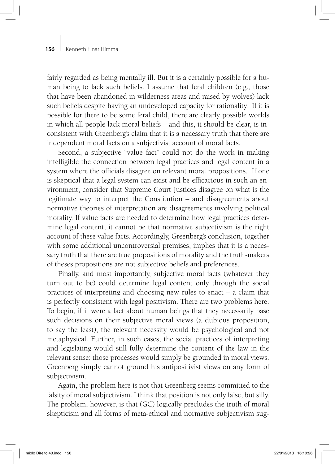fairly regarded as being mentally ill. But it is a certainly possible for a human being to lack such beliefs. I assume that feral children (e.g., those that have been abandoned in wilderness areas and raised by wolves) lack such beliefs despite having an undeveloped capacity for rationality. If it is possible for there to be some feral child, there are clearly possible worlds in which all people lack moral beliefs – and this, it should be clear, is inconsistent with Greenberg's claim that it is a necessary truth that there are independent moral facts on a subjectivist account of moral facts.

Second, a subjective "value fact" could not do the work in making intelligible the connection between legal practices and legal content in a system where the officials disagree on relevant moral propositions. If one is skeptical that a legal system can exist and be efficacious in such an environment, consider that Supreme Court Justices disagree on what is the legitimate way to interpret the Constitution – and disagreements about normative theories of interpretation are disagreements involving political morality. If value facts are needed to determine how legal practices determine legal content, it cannot be that normative subjectivism is the right account of these value facts. Accordingly, Greenberg's conclusion, together with some additional uncontroversial premises, implies that it is a necessary truth that there are true propositions of morality and the truth-makers of theses propositions are not subjective beliefs and preferences.

Finally, and most importantly, subjective moral facts (whatever they turn out to be) could determine legal content only through the social practices of interpreting and choosing new rules to enact – a claim that is perfectly consistent with legal positivism. There are two problems here. To begin, if it were a fact about human beings that they necessarily base such decisions on their subjective moral views (a dubious proposition, to say the least), the relevant necessity would be psychological and not metaphysical. Further, in such cases, the social practices of interpreting and legislating would still fully determine the content of the law in the relevant sense; those processes would simply be grounded in moral views. Greenberg simply cannot ground his antipositivist views on any form of subjectivism.

Again, the problem here is not that Greenberg seems committed to the falsity of moral subjectivism. I think that position is not only false, but silly. The problem, however, is that (GC) logically precludes the truth of moral skepticism and all forms of meta-ethical and normative subjectivism sug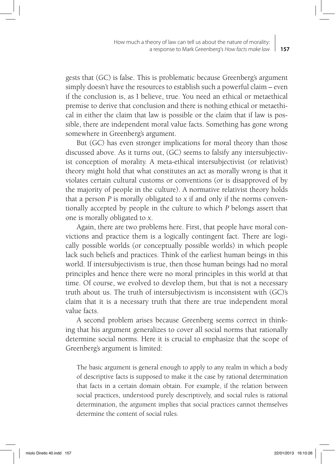gests that (GC) is false. This is problematic because Greenberg's argument simply doesn't have the resources to establish such a powerful claim – even if the conclusion is, as I believe, true. You need an ethical or metaethical premise to derive that conclusion and there is nothing ethical or metaethical in either the claim that law is possible or the claim that if law is possible, there are independent moral value facts. Something has gone wrong somewhere in Greenberg's argument.

But (GC) has even stronger implications for moral theory than those discussed above. As it turns out, (GC) seems to falsify any intersubjectivist conception of morality. A meta-ethical intersubjectivist (or relativist) theory might hold that what constitutes an act as morally wrong is that it violates certain cultural customs or conventions (or is disapproved of by the majority of people in the culture). A normative relativist theory holds that a person *P* is morally obligated to *x* if and only if the norms conventionally accepted by people in the culture to which *P* belongs assert that one is morally obligated to *x*.

Again, there are two problems here. First, that people have moral convictions and practice them is a logically contingent fact. There are logically possible worlds (or conceptually possible worlds) in which people lack such beliefs and practices. Think of the earliest human beings in this world. If intersubjectivism is true, then those human beings had no moral principles and hence there were no moral principles in this world at that time. Of course, we evolved to develop them, but that is not a necessary truth about us. The truth of intersubjectivism is inconsistent with (GC)'s claim that it is a necessary truth that there are true independent moral value facts.

A second problem arises because Greenberg seems correct in thinking that his argument generalizes to cover all social norms that rationally determine social norms. Here it is crucial to emphasize that the scope of Greenberg's argument is limited:

The basic argument is general enough to apply to any realm in which a body of descriptive facts is supposed to make it the case by rational determination that facts in a certain domain obtain. For example, if the relation between social practices, understood purely descriptively, and social rules is rational determination, the argument implies that social practices cannot themselves determine the content of social rules.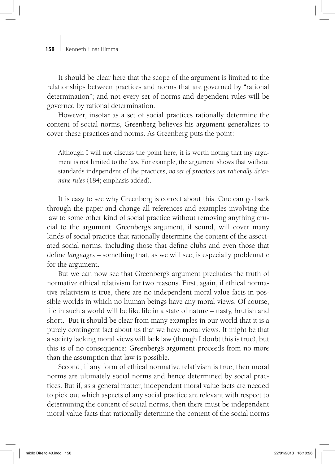It should be clear here that the scope of the argument is limited to the relationships between practices and norms that are governed by "rational determination"; and not every set of norms and dependent rules will be governed by rational determination.

However, insofar as a set of social practices rationally determine the content of social norms, Greenberg believes his argument generalizes to cover these practices and norms. As Greenberg puts the point:

Although I will not discuss the point here, it is worth noting that my argument is not limited to the law. For example, the argument shows that without standards independent of the practices, *no set of practices can rationally determine rules* (184; emphasis added).

It is easy to see why Greenberg is correct about this. One can go back through the paper and change all references and examples involving the law to some other kind of social practice without removing anything crucial to the argument. Greenberg's argument, if sound, will cover many kinds of social practice that rationally determine the content of the associated social norms, including those that define clubs and even those that define *languages* – something that, as we will see, is especially problematic for the argument.

But we can now see that Greenberg's argument precludes the truth of normative ethical relativism for two reasons. First, again, if ethical normative relativism is true, there are no independent moral value facts in possible worlds in which no human beings have any moral views. Of course, life in such a world will be like life in a state of nature – nasty, brutish and short. But it should be clear from many examples in our world that it is a purely contingent fact about us that we have moral views. It might be that a society lacking moral views will lack law (though I doubt this is true), but this is of no consequence: Greenberg's argument proceeds from no more than the assumption that law is possible.

Second, if any form of ethical normative relativism is true, then moral norms are ultimately social norms and hence determined by social practices. But if, as a general matter, independent moral value facts are needed to pick out which aspects of any social practice are relevant with respect to determining the content of social norms, then there must be independent moral value facts that rationally determine the content of the social norms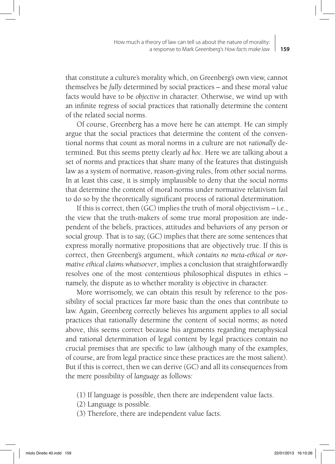that constitute a culture's morality which, on Greenberg's own view, cannot themselves be *fully* determined by social practices – and these moral value facts would have to be *objective* in character. Otherwise, we wind up with an infinite regress of social practices that rationally determine the content of the related social norms.

Of course, Greenberg has a move here he can attempt. He can simply argue that the social practices that determine the content of the conventional norms that count as moral norms in a culture are not *rationally* determined. But this seems pretty clearly *ad hoc*. Here we are talking about a set of norms and practices that share many of the features that distinguish law as a system of normative, reason-giving rules, from other social norms. In at least this case, it is simply implausible to deny that the social norms that determine the content of moral norms under normative relativism fail to do so by the theoretically significant process of rational determination.

If this is correct, then  $(GC)$  implies the truth of moral objectivism  $-$  i.e., the view that the truth-makers of some true moral proposition are independent of the beliefs, practices, attitudes and behaviors of any person or social group. That is to say, (GC) implies that there are some sentences that express morally normative propositions that are objectively true. If this is correct, then Greenberg's argument, *which contains no meta-ethical or normative ethical claims whatsoever*, implies a conclusion that straightforwardly resolves one of the most contentious philosophical disputes in ethics – namely, the dispute as to whether morality is objective in character.

More worrisomely, we can obtain this result by reference to the possibility of social practices far more basic than the ones that contribute to law. Again, Greenberg correctly believes his argument applies to all social practices that rationally determine the content of social norms; as noted above, this seems correct because his arguments regarding metaphysical and rational determination of legal content by legal practices contain no crucial premises that are specific to law (although many of the examples, of course, are from legal practice since these practices are the most salient). But if this is correct, then we can derive (GC) and all its consequences from the mere possibility of *language* as follows:

- (1) If language is possible, then there are independent value facts.
- (2) Language is possible.
- (3) Therefore, there are independent value facts.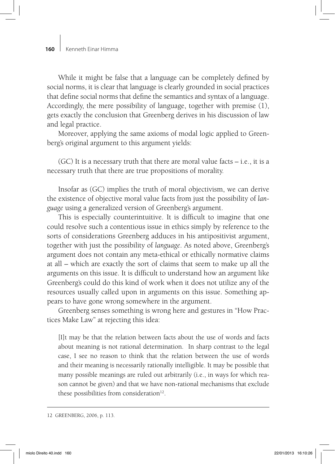While it might be false that a language can be completely defined by social norms, it is clear that language is clearly grounded in social practices that define social norms that define the semantics and syntax of a language. Accordingly, the mere possibility of language, together with premise (1), gets exactly the conclusion that Greenberg derives in his discussion of law and legal practice.

Moreover, applying the same axioms of modal logic applied to Greenberg's original argument to this argument yields:

(GC) It is a necessary truth that there are moral value facts – i.e., it is a necessary truth that there are true propositions of morality.

Insofar as (GC) implies the truth of moral objectivism, we can derive the existence of objective moral value facts from just the possibility of *language* using a generalized version of Greenberg's argument.

This is especially counterintuitive. It is difficult to imagine that one could resolve such a contentious issue in ethics simply by reference to the sorts of considerations Greenberg adduces in his antipositivist argument, together with just the possibility of *language*. As noted above, Greenberg's argument does not contain any meta-ethical or ethically normative claims at all – which are exactly the sort of claims that seem to make up all the arguments on this issue. It is difficult to understand how an argument like Greenberg's could do this kind of work when it does not utilize any of the resources usually called upon in arguments on this issue. Something appears to have gone wrong somewhere in the argument.

Greenberg senses something is wrong here and gestures in "How Practices Make Law" at rejecting this idea:

[I]t may be that the relation between facts about the use of words and facts about meaning is not rational determination. In sharp contrast to the legal case, I see no reason to think that the relation between the use of words and their meaning is necessarily rationally intelligible. It may be possible that many possible meanings are ruled out arbitrarily (i.e., in ways for which reason cannot be given) and that we have non-rational mechanisms that exclude these possibilities from consideration $12$ .

<sup>12</sup> GREENBERG, 2006, p. 113.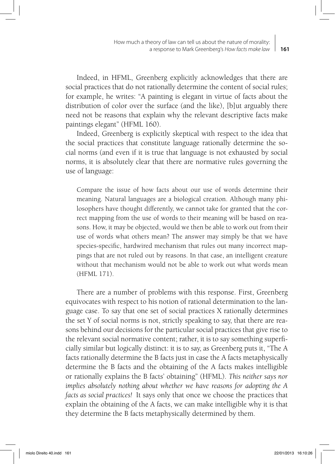Indeed, in HFML, Greenberg explicitly acknowledges that there are social practices that do not rationally determine the content of social rules; for example, he writes: "A painting is elegant in virtue of facts about the distribution of color over the surface (and the like), [b]ut arguably there need not be reasons that explain why the relevant descriptive facts make paintings elegant" (HFML 160).

Indeed, Greenberg is explicitly skeptical with respect to the idea that the social practices that constitute language rationally determine the social norms (and even if it is true that language is not exhausted by social norms, it is absolutely clear that there are normative rules governing the use of language:

Compare the issue of how facts about our use of words determine their meaning. Natural languages are a biological creation. Although many philosophers have thought differently, we cannot take for granted that the correct mapping from the use of words to their meaning will be based on reasons. How, it may be objected, would we then be able to work out from their use of words what others mean? The answer may simply be that we have species-specific, hardwired mechanism that rules out many incorrect mappings that are not ruled out by reasons. In that case, an intelligent creature without that mechanism would not be able to work out what words mean (HFML 171).

There are a number of problems with this response. First, Greenberg equivocates with respect to his notion of rational determination to the language case. To say that one set of social practices X rationally determines the set Y of social norms is not, strictly speaking to say, that there are reasons behind our decisions for the particular social practices that give rise to the relevant social normative content; rather, it is to say something superficially similar but logically distinct: it is to say, as Greenberg puts it, "The A facts rationally determine the B facts just in case the A facts metaphysically determine the B facts and the obtaining of the A facts makes intelligible or rationally explains the B facts' obtaining" (HFML). *This neither says nor implies absolutely nothing about whether we have reasons for adopting the A facts as social practices!* It says only that once we choose the practices that explain the obtaining of the A facts, we can make intelligible why it is that they determine the B facts metaphysically determined by them.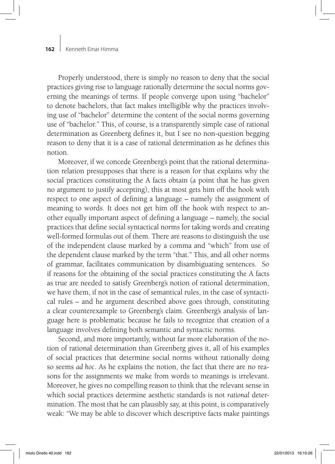Properly understood, there is simply no reason to deny that the social practices giving rise to language rationally determine the social norms governing the meanings of terms. If people converge upon using "bachelor" to denote bachelors, that fact makes intelligible why the practices involving use of "bachelor" determine the content of the social norms governing use of "bachelor." This, of course, is a transparently simple case of rational determination as Greenberg defines it, but I see no non-question begging reason to deny that it is a case of rational determination as he defines this notion.

Moreover, if we concede Greenberg's point that the rational determination relation presupposes that there is a reason for that explains why the social practices constituting the A facts obtain (a point that he has given no argument to justify accepting), this at most gets him off the hook with respect to one aspect of defining a language – namely the assignment of meaning to words. It does not get him off the hook with respect to another equally important aspect of defining a language – namely, the social practices that define social syntactical norms for taking words and creating well-formed formulas out of them. There are reasons to distinguish the use of the independent clause marked by a comma and "which" from use of the dependent clause marked by the term "that." This, and all other norms of grammar, facilitates communication by disambiguating sentences. So if reasons for the obtaining of the social practices constituting the A facts as true are needed to satisfy Greenberg's notion of rational determination, we have them, if not in the case of semantical rules, in the case of syntactical rules – and he argument described above goes through, constituting a clear counterexample to Greenberg's claim. Greenberg's analysis of language here is problematic because he fails to recognize that creation of a language involves defining both semantic and syntactic norms.

Second, and more importantly, without far more elaboration of the notion of rational determination than Greenberg gives it, all of his examples of social practices that determine social norms without rationally doing so seems *ad hoc*. As he explains the notion, the fact that there are no reasons for the assignments we make from words to meanings is irrelevant. Moreover, he gives no compelling reason to think that the relevant sense in which social practices determine aesthetic standards is not *rational* determination. The most that he can plausibly say, at this point, is comparatively weak: "We may be able to discover which descriptive facts make paintings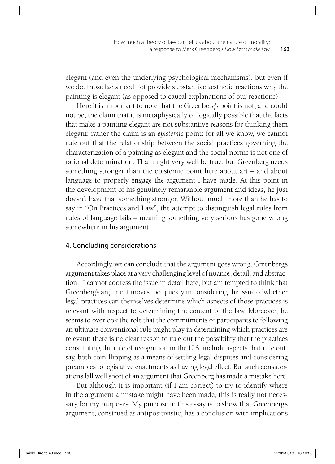elegant (and even the underlying psychological mechanisms), but even if we do, those facts need not provide substantive aesthetic reactions why the painting is elegant (as opposed to causal explanations of our reactions).

Here it is important to note that the Greenberg's point is not, and could not be, the claim that it is metaphysically or logically possible that the facts that make a painting elegant are not substantive reasons for thinking them elegant; rather the claim is an *epistemic* point: for all we know, we cannot rule out that the relationship between the social practices governing the characterization of a painting as elegant and the social norms is not one of rational determination. That might very well be true, but Greenberg needs something stronger than the epistemic point here about art – and about language to properly engage the argument I have made. At this point in the development of his genuinely remarkable argument and ideas, he just doesn't have that something stronger. Without much more than he has to say in "On Practices and Law", the attempt to distinguish legal rules from rules of language fails – meaning something very serious has gone wrong somewhere in his argument.

## 4. Concluding considerations

Accordingly, we can conclude that the argument goes wrong. Greenberg's argument takes place at a very challenging level of nuance, detail, and abstraction. I cannot address the issue in detail here, but am tempted to think that Greenberg's argument moves too quickly in considering the issue of whether legal practices can themselves determine which aspects of those practices is relevant with respect to determining the content of the law. Moreover, he seems to overlook the role that the commitments of participants to following an ultimate conventional rule might play in determining which practices are relevant; there is no clear reason to rule out the possibility that the practices constituting the rule of recognition in the U.S. include aspects that rule out, say, both coin-flipping as a means of settling legal disputes and considering preambles to legislative enactments as having legal effect. But such considerations fall well short of an argument that Greenberg has made a mistake here.

But although it is important (if I am correct) to try to identify where in the argument a mistake might have been made, this is really not necessary for my purposes. My purpose in this essay is to show that Greenberg's argument, construed as antipositivistic, has a conclusion with implications